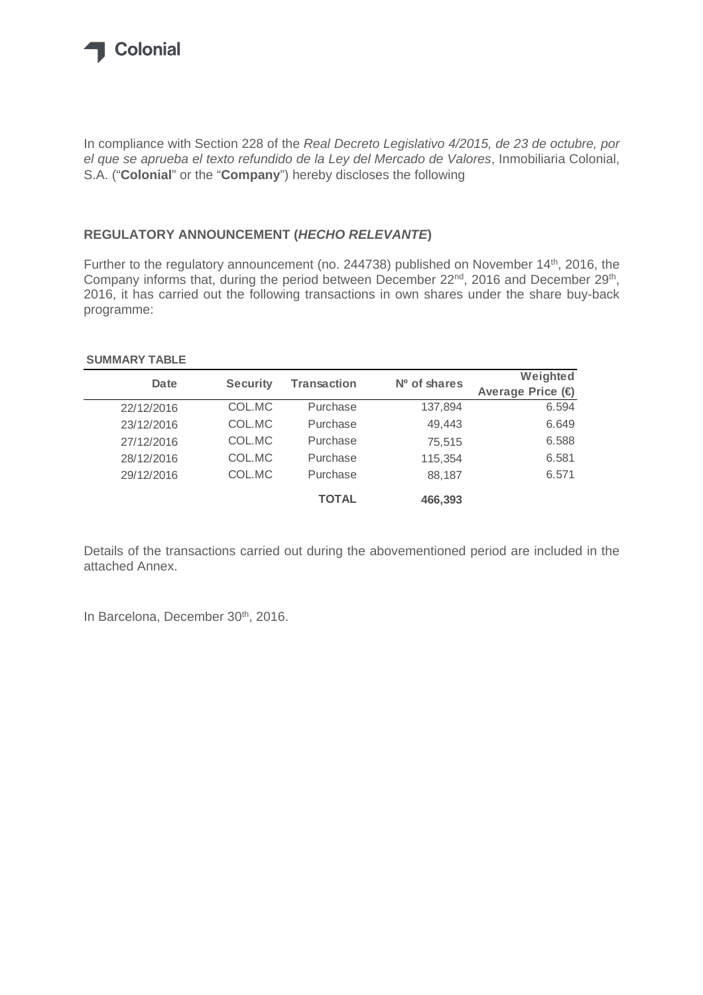

In compliance with Section 228 of the *Real Decreto Legislativo 4/2015, de 23 de octubre, por el que se aprueba el texto refundido de la Ley del Mercado de Valores*, Inmobiliaria Colonial, S.A. ("**Colonial**" or the "**Company**") hereby discloses the following

## **REGULATORY ANNOUNCEMENT (***HECHO RELEVANTE***)**

Further to the regulatory announcement (no. 244738) published on November 14<sup>th</sup>, 2016, the Company informs that, during the period between December 22<sup>nd</sup>, 2016 and December 29<sup>th</sup>, 2016, it has carried out the following transactions in own shares under the share buy-back programme:

## **SUMMARY TABLE**

| Date       | <b>Security</b> | <b>Transaction</b> | $No$ of shares | Weighted         |
|------------|-----------------|--------------------|----------------|------------------|
|            |                 |                    |                | Average Price (€ |
| 22/12/2016 | COL.MC          | Purchase           | 137,894        | 6.594            |
| 23/12/2016 | COL.MC          | Purchase           | 49,443         | 6.649            |
| 27/12/2016 | COL.MC          | Purchase           | 75,515         | 6.588            |
| 28/12/2016 | COL.MC          | Purchase           | 115,354        | 6.581            |
| 29/12/2016 | COL.MC          | Purchase           | 88,187         | 6.571            |
|            |                 | <b>TOTAL</b>       | 466,393        |                  |

Details of the transactions carried out during the abovementioned period are included in the attached Annex.

In Barcelona, December 30<sup>th</sup>, 2016.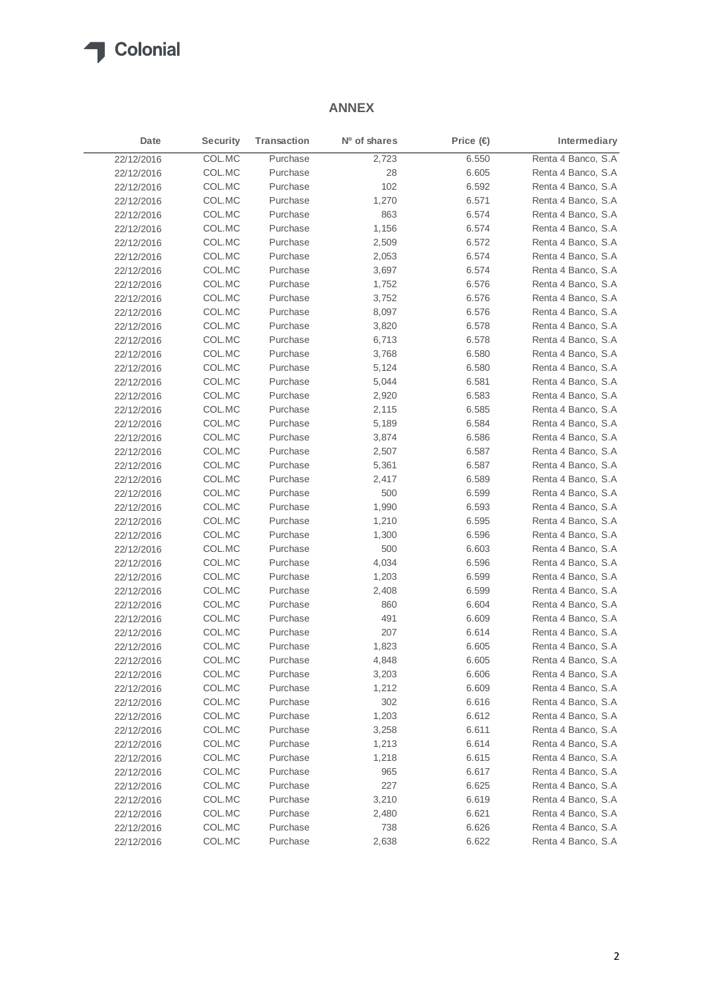

## **ANNEX**

| Date       | <b>Security</b> | <b>Transaction</b> | Nº of shares | Price $\bigoplus$ | Intermediary       |
|------------|-----------------|--------------------|--------------|-------------------|--------------------|
| 22/12/2016 | COL.MC          | Purchase           | 2,723        | 6.550             | Renta 4 Banco, S.A |
| 22/12/2016 | COL.MC          | Purchase           | 28           | 6.605             | Renta 4 Banco, S.A |
| 22/12/2016 | COL.MC          | Purchase           | 102          | 6.592             | Renta 4 Banco, S.A |
| 22/12/2016 | COL.MC          | Purchase           | 1,270        | 6.571             | Renta 4 Banco, S.A |
| 22/12/2016 | COL.MC          | Purchase           | 863          | 6.574             | Renta 4 Banco, S.A |
| 22/12/2016 | COL.MC          | Purchase           | 1,156        | 6.574             | Renta 4 Banco, S.A |
| 22/12/2016 | COL.MC          | Purchase           | 2,509        | 6.572             | Renta 4 Banco, S.A |
| 22/12/2016 | COL.MC          | Purchase           | 2,053        | 6.574             | Renta 4 Banco, S.A |
| 22/12/2016 | COL.MC          | Purchase           | 3,697        | 6.574             | Renta 4 Banco, S.A |
| 22/12/2016 | COL.MC          | Purchase           | 1,752        | 6.576             | Renta 4 Banco, S.A |
| 22/12/2016 | COL.MC          | Purchase           | 3,752        | 6.576             | Renta 4 Banco, S.A |
| 22/12/2016 | COL.MC          | Purchase           | 8,097        | 6.576             | Renta 4 Banco, S.A |
| 22/12/2016 | COL.MC          | Purchase           | 3,820        | 6.578             | Renta 4 Banco, S.A |
| 22/12/2016 | COL.MC          | Purchase           | 6,713        | 6.578             | Renta 4 Banco, S.A |
| 22/12/2016 | COL.MC          | Purchase           | 3,768        | 6.580             | Renta 4 Banco, S.A |
| 22/12/2016 | COL.MC          | Purchase           | 5,124        | 6.580             | Renta 4 Banco, S.A |
| 22/12/2016 | COL.MC          | Purchase           | 5,044        | 6.581             | Renta 4 Banco, S.A |
| 22/12/2016 | COL.MC          | Purchase           | 2,920        | 6.583             | Renta 4 Banco, S.A |
| 22/12/2016 | COL.MC          | Purchase           | 2,115        | 6.585             | Renta 4 Banco, S.A |
| 22/12/2016 | COL.MC          | Purchase           | 5,189        | 6.584             | Renta 4 Banco, S.A |
| 22/12/2016 | COL.MC          | Purchase           | 3,874        | 6.586             | Renta 4 Banco, S.A |
| 22/12/2016 | COL.MC          | Purchase           | 2,507        | 6.587             | Renta 4 Banco, S.A |
| 22/12/2016 | COL.MC          | Purchase           | 5,361        | 6.587             | Renta 4 Banco, S.A |
| 22/12/2016 | COL.MC          | Purchase           | 2,417        | 6.589             | Renta 4 Banco, S.A |
| 22/12/2016 | COL.MC          | Purchase           | 500          | 6.599             | Renta 4 Banco, S.A |
| 22/12/2016 | COL.MC          | Purchase           | 1,990        | 6.593             | Renta 4 Banco, S.A |
| 22/12/2016 | COL.MC          | Purchase           | 1,210        | 6.595             | Renta 4 Banco, S.A |
| 22/12/2016 | COL.MC          | Purchase           | 1,300        | 6.596             | Renta 4 Banco, S.A |
| 22/12/2016 | COL.MC          | Purchase           | 500          | 6.603             | Renta 4 Banco, S.A |
| 22/12/2016 | COL.MC          | Purchase           | 4,034        | 6.596             | Renta 4 Banco, S.A |
| 22/12/2016 | COL.MC          | Purchase           | 1,203        | 6.599             | Renta 4 Banco, S.A |
| 22/12/2016 | COL.MC          | Purchase           | 2,408        | 6.599             | Renta 4 Banco, S.A |
| 22/12/2016 | COL.MC          | Purchase           | 860          | 6.604             | Renta 4 Banco, S.A |
| 22/12/2016 | COL.MC          | Purchase           | 491          | 6.609             | Renta 4 Banco, S.A |
| 22/12/2016 | COL.MC          | Purchase           | 207          | 6.614             | Renta 4 Banco, S.A |
| 22/12/2016 | COL.MC          | Purchase           | 1,823        | 6.605             | Renta 4 Banco, S.A |
| 22/12/2016 | COL.MC          | Purchase           | 4,848        | 6.605             | Renta 4 Banco, S.A |
| 22/12/2016 | COL.MC          | Purchase           | 3,203        | 6.606             | Renta 4 Banco, S.A |
| 22/12/2016 | COL.MC          | Purchase           | 1,212        | 6.609             | Renta 4 Banco, S.A |
| 22/12/2016 | COL.MC          | Purchase           | 302          | 6.616             | Renta 4 Banco, S.A |
| 22/12/2016 | COL.MC          | Purchase           | 1,203        | 6.612             | Renta 4 Banco, S.A |
| 22/12/2016 | COL.MC          | Purchase           | 3,258        | 6.611             | Renta 4 Banco, S.A |
| 22/12/2016 | COL.MC          | Purchase           | 1,213        | 6.614             | Renta 4 Banco, S.A |
| 22/12/2016 | COL.MC          | Purchase           | 1,218        | 6.615             | Renta 4 Banco, S.A |
| 22/12/2016 | COL.MC          | Purchase           | 965          | 6.617             | Renta 4 Banco, S.A |
| 22/12/2016 | COL.MC          | Purchase           | 227          | 6.625             | Renta 4 Banco, S.A |
| 22/12/2016 | COL.MC          | Purchase           | 3,210        | 6.619             | Renta 4 Banco, S.A |
| 22/12/2016 | COL.MC          | Purchase           | 2,480        | 6.621             | Renta 4 Banco, S.A |
| 22/12/2016 | COL.MC          | Purchase           | 738          | 6.626             | Renta 4 Banco, S.A |
| 22/12/2016 | COL.MC          | Purchase           | 2,638        | 6.622             | Renta 4 Banco, S.A |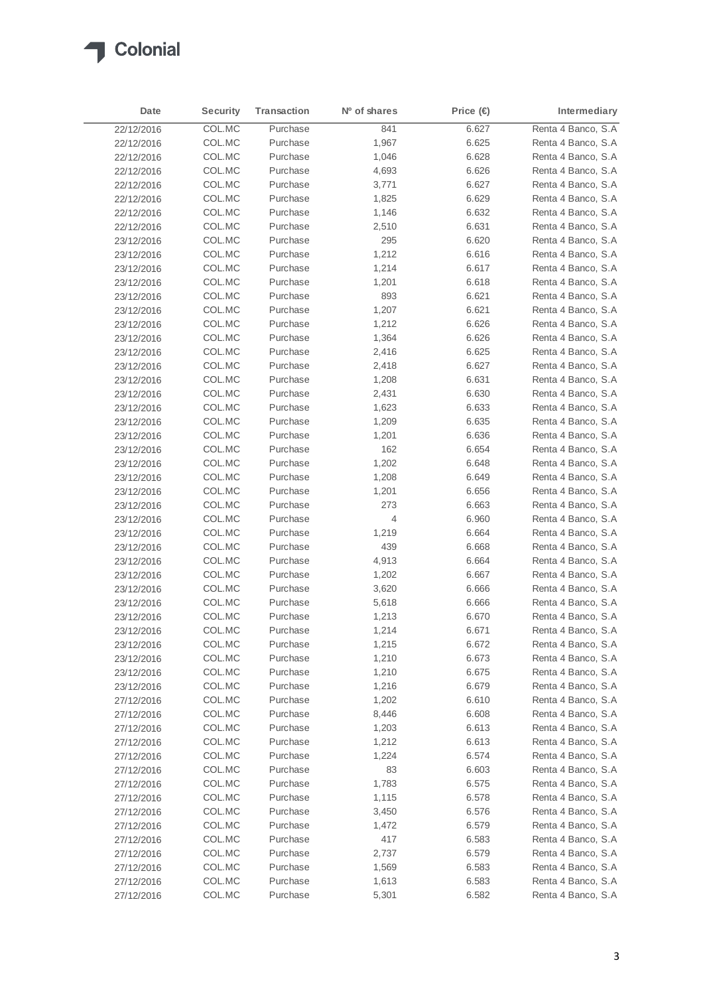

| Date       | <b>Security</b> | <b>Transaction</b> | Nº of shares | Price $(\Leftrightarrow$ | Intermediary        |
|------------|-----------------|--------------------|--------------|--------------------------|---------------------|
| 22/12/2016 | COL.MC          | Purchase           | 841          | 6.627                    | Renta 4 Banco, S.A  |
| 22/12/2016 | COL.MC          | Purchase           | 1,967        | 6.625                    | Renta 4 Banco, S.A. |
| 22/12/2016 | COL.MC          | Purchase           | 1,046        | 6.628                    | Renta 4 Banco, S.A  |
| 22/12/2016 | COL.MC          | Purchase           | 4,693        | 6.626                    | Renta 4 Banco, S.A  |
| 22/12/2016 | COL.MC          | Purchase           | 3,771        | 6.627                    | Renta 4 Banco, S.A  |
| 22/12/2016 | COL.MC          | Purchase           | 1,825        | 6.629                    | Renta 4 Banco, S.A  |
| 22/12/2016 | COL.MC          | Purchase           | 1,146        | 6.632                    | Renta 4 Banco, S.A  |
| 22/12/2016 | COL.MC          | Purchase           | 2,510        | 6.631                    | Renta 4 Banco, S.A  |
| 23/12/2016 | COL.MC          | Purchase           | 295          | 6.620                    | Renta 4 Banco, S.A  |
| 23/12/2016 | COL.MC          | Purchase           | 1,212        | 6.616                    | Renta 4 Banco, S.A  |
| 23/12/2016 | COL.MC          | Purchase           | 1,214        | 6.617                    | Renta 4 Banco, S.A  |
| 23/12/2016 | COL.MC          | Purchase           | 1,201        | 6.618                    | Renta 4 Banco, S.A  |
| 23/12/2016 | COL.MC          | Purchase           | 893          | 6.621                    | Renta 4 Banco, S.A  |
| 23/12/2016 | COL.MC          | Purchase           | 1,207        | 6.621                    | Renta 4 Banco, S.A  |
| 23/12/2016 | COL.MC          | Purchase           | 1,212        | 6.626                    | Renta 4 Banco, S.A  |
| 23/12/2016 | COL.MC          | Purchase           | 1,364        | 6.626                    | Renta 4 Banco, S.A  |
| 23/12/2016 | COL.MC          | Purchase           | 2,416        | 6.625                    | Renta 4 Banco, S.A  |
| 23/12/2016 | COL.MC          | Purchase           | 2,418        | 6.627                    | Renta 4 Banco, S.A  |
| 23/12/2016 | COL.MC          | Purchase           | 1,208        | 6.631                    | Renta 4 Banco, S.A  |
| 23/12/2016 | COL.MC          | Purchase           | 2,431        | 6.630                    | Renta 4 Banco, S.A  |
| 23/12/2016 | COL.MC          | Purchase           | 1,623        | 6.633                    | Renta 4 Banco, S.A  |
| 23/12/2016 | COL.MC          | Purchase           | 1,209        | 6.635                    | Renta 4 Banco, S.A  |
|            | COL.MC          | Purchase           | 1,201        | 6.636                    | Renta 4 Banco, S.A  |
| 23/12/2016 | COL.MC          | Purchase           | 162          | 6.654                    | Renta 4 Banco, S.A  |
| 23/12/2016 |                 | Purchase           |              |                          | Renta 4 Banco, S.A  |
| 23/12/2016 | COL.MC          |                    | 1,202        | 6.648                    |                     |
| 23/12/2016 | COL.MC          | Purchase           | 1,208        | 6.649                    | Renta 4 Banco, S.A  |
| 23/12/2016 | COL.MC          | Purchase           | 1,201        | 6.656                    | Renta 4 Banco, S.A  |
| 23/12/2016 | COL.MC          | Purchase           | 273          | 6.663                    | Renta 4 Banco, S.A  |
| 23/12/2016 | COL.MC          | Purchase           | 4            | 6.960                    | Renta 4 Banco, S.A  |
| 23/12/2016 | COL.MC          | Purchase           | 1,219        | 6.664                    | Renta 4 Banco, S.A  |
| 23/12/2016 | COL.MC          | Purchase           | 439          | 6.668                    | Renta 4 Banco, S.A  |
| 23/12/2016 | COL.MC          | Purchase           | 4,913        | 6.664                    | Renta 4 Banco, S.A  |
| 23/12/2016 | COL.MC          | Purchase           | 1,202        | 6.667                    | Renta 4 Banco, S.A  |
| 23/12/2016 | COL.MC          | Purchase           | 3,620        | 6.666                    | Renta 4 Banco, S.A  |
| 23/12/2016 | COL.MC          | Purchase           | 5,618        | 6.666                    | Renta 4 Banco, S.A  |
| 23/12/2016 | COL.MC          | Purchase           | 1,213        | 6.670                    | Renta 4 Banco, S.A  |
| 23/12/2016 | COL.MC          | Purchase           | 1,214        | 6.671                    | Renta 4 Banco, S.A  |
| 23/12/2016 | COL.MC          | Purchase           | 1,215        | 6.672                    | Renta 4 Banco, S.A  |
| 23/12/2016 | COL.MC          | Purchase           | 1,210        | 6.673                    | Renta 4 Banco, S.A  |
| 23/12/2016 | COL.MC          | Purchase           | 1,210        | 6.675                    | Renta 4 Banco, S.A  |
| 23/12/2016 | COL.MC          | Purchase           | 1,216        | 6.679                    | Renta 4 Banco, S.A  |
| 27/12/2016 | COL.MC          | Purchase           | 1,202        | 6.610                    | Renta 4 Banco, S.A  |
| 27/12/2016 | COL.MC          | Purchase           | 8,446        | 6.608                    | Renta 4 Banco, S.A  |
| 27/12/2016 | COL.MC          | Purchase           | 1,203        | 6.613                    | Renta 4 Banco, S.A  |
| 27/12/2016 | COL.MC          | Purchase           | 1,212        | 6.613                    | Renta 4 Banco, S.A  |
| 27/12/2016 | COL.MC          | Purchase           | 1,224        | 6.574                    | Renta 4 Banco, S.A  |
| 27/12/2016 | COL.MC          | Purchase           | 83           | 6.603                    | Renta 4 Banco, S.A  |
| 27/12/2016 | COL.MC          | Purchase           | 1,783        | 6.575                    | Renta 4 Banco, S.A  |
| 27/12/2016 | COL.MC          | Purchase           | 1,115        | 6.578                    | Renta 4 Banco, S.A  |
| 27/12/2016 | COL.MC          | Purchase           | 3,450        | 6.576                    | Renta 4 Banco, S.A  |
| 27/12/2016 | COL.MC          | Purchase           | 1,472        | 6.579                    | Renta 4 Banco, S.A  |
| 27/12/2016 | COL.MC          | Purchase           | 417          | 6.583                    | Renta 4 Banco, S.A  |
| 27/12/2016 | COL.MC          | Purchase           | 2,737        | 6.579                    | Renta 4 Banco, S.A  |
| 27/12/2016 | COL.MC          | Purchase           | 1,569        | 6.583                    | Renta 4 Banco, S.A  |
| 27/12/2016 | COL.MC          | Purchase           | 1,613        | 6.583                    | Renta 4 Banco, S.A  |
| 27/12/2016 | COL.MC          | Purchase           | 5,301        | 6.582                    | Renta 4 Banco, S.A  |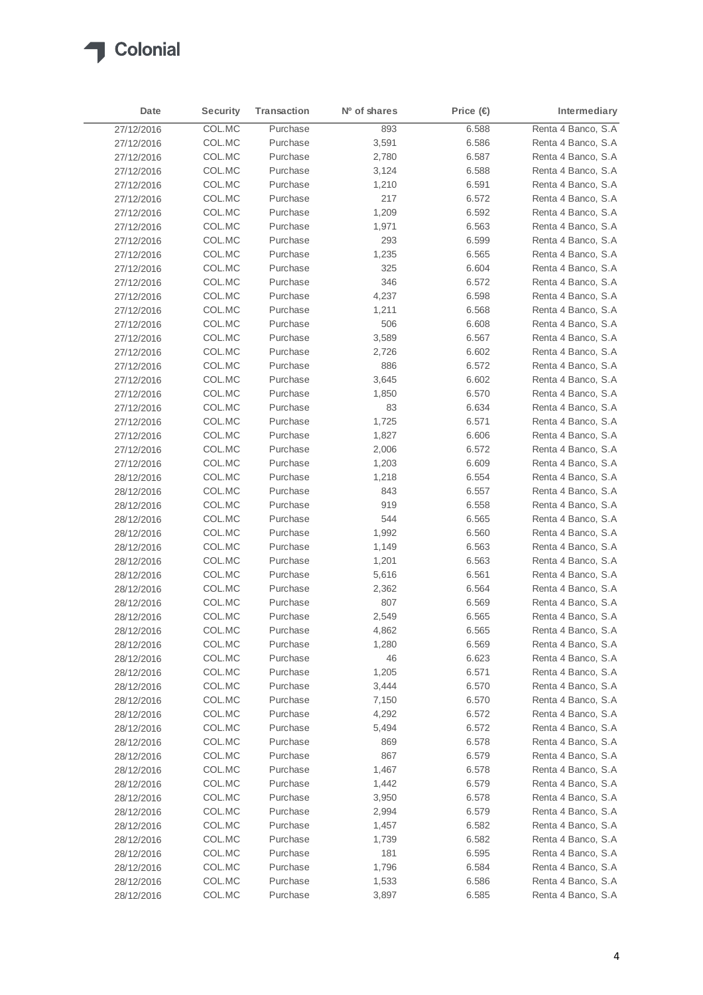

| Date       | <b>Security</b> | <b>Transaction</b> | Nº of shares | Price (€ | Intermediary        |
|------------|-----------------|--------------------|--------------|----------|---------------------|
| 27/12/2016 | COL.MC          | Purchase           | 893          | 6.588    | Renta 4 Banco, S.A  |
| 27/12/2016 | COL.MC          | Purchase           | 3,591        | 6.586    | Renta 4 Banco, S.A. |
| 27/12/2016 | COL.MC          | Purchase           | 2,780        | 6.587    | Renta 4 Banco, S.A  |
| 27/12/2016 | COL.MC          | Purchase           | 3,124        | 6.588    | Renta 4 Banco, S.A  |
| 27/12/2016 | COL.MC          | Purchase           | 1,210        | 6.591    | Renta 4 Banco, S.A  |
| 27/12/2016 | COL.MC          | Purchase           | 217          | 6.572    | Renta 4 Banco, S.A  |
| 27/12/2016 | COL.MC          | Purchase           | 1,209        | 6.592    | Renta 4 Banco, S.A  |
| 27/12/2016 | COL.MC          | Purchase           | 1,971        | 6.563    | Renta 4 Banco, S.A  |
| 27/12/2016 | COL.MC          | Purchase           | 293          | 6.599    | Renta 4 Banco, S.A  |
| 27/12/2016 | COL.MC          | Purchase           | 1,235        | 6.565    | Renta 4 Banco, S.A  |
| 27/12/2016 | COL.MC          | Purchase           | 325          | 6.604    | Renta 4 Banco, S.A  |
| 27/12/2016 | COL.MC          | Purchase           | 346          | 6.572    | Renta 4 Banco, S.A  |
| 27/12/2016 | COL.MC          | Purchase           | 4,237        | 6.598    | Renta 4 Banco, S.A  |
| 27/12/2016 | COL.MC          | Purchase           | 1,211        | 6.568    | Renta 4 Banco, S.A  |
| 27/12/2016 | COL.MC          | Purchase           | 506          | 6.608    | Renta 4 Banco, S.A  |
| 27/12/2016 | COL.MC          | Purchase           | 3,589        | 6.567    | Renta 4 Banco, S.A  |
| 27/12/2016 | COL.MC          | Purchase           | 2,726        | 6.602    | Renta 4 Banco, S.A  |
| 27/12/2016 | COL.MC          | Purchase           | 886          | 6.572    | Renta 4 Banco, S.A  |
|            | COL.MC          | Purchase           | 3,645        | 6.602    | Renta 4 Banco, S.A  |
| 27/12/2016 | COL.MC          | Purchase           | 1,850        | 6.570    | Renta 4 Banco, S.A  |
| 27/12/2016 | COL.MC          | Purchase           |              | 6.634    | Renta 4 Banco, S.A  |
| 27/12/2016 | COL.MC          | Purchase           | 83<br>1,725  | 6.571    | Renta 4 Banco, S.A  |
| 27/12/2016 |                 | Purchase           |              |          | Renta 4 Banco, S.A  |
| 27/12/2016 | COL.MC          |                    | 1,827        | 6.606    | Renta 4 Banco, S.A  |
| 27/12/2016 | COL.MC          | Purchase           | 2,006        | 6.572    |                     |
| 27/12/2016 | COL.MC          | Purchase           | 1,203        | 6.609    | Renta 4 Banco, S.A  |
| 28/12/2016 | COL.MC          | Purchase           | 1,218        | 6.554    | Renta 4 Banco, S.A  |
| 28/12/2016 | COL.MC          | Purchase           | 843          | 6.557    | Renta 4 Banco, S.A  |
| 28/12/2016 | COL.MC          | Purchase           | 919          | 6.558    | Renta 4 Banco, S.A  |
| 28/12/2016 | COL.MC          | Purchase           | 544          | 6.565    | Renta 4 Banco, S.A  |
| 28/12/2016 | COL.MC          | Purchase           | 1,992        | 6.560    | Renta 4 Banco, S.A  |
| 28/12/2016 | COL.MC          | Purchase           | 1,149        | 6.563    | Renta 4 Banco, S.A  |
| 28/12/2016 | COL.MC          | Purchase           | 1,201        | 6.563    | Renta 4 Banco, S.A  |
| 28/12/2016 | COL.MC          | Purchase           | 5,616        | 6.561    | Renta 4 Banco, S.A  |
| 28/12/2016 | COL.MC          | Purchase           | 2,362        | 6.564    | Renta 4 Banco, S.A  |
| 28/12/2016 | COL.MC          | Purchase           | 807          | 6.569    | Renta 4 Banco, S.A  |
| 28/12/2016 | COL.MC          | Purchase           | 2,549        | 6.565    | Renta 4 Banco, S.A  |
| 28/12/2016 | COL.MC          | Purchase           | 4,862        | 6.565    | Renta 4 Banco, S.A  |
| 28/12/2016 | COL.MC          | Purchase           | 1,280        | 6.569    | Renta 4 Banco, S.A  |
| 28/12/2016 | COL.MC          | Purchase           | 46           | 6.623    | Renta 4 Banco, S.A  |
| 28/12/2016 | COL.MC          | Purchase           | 1,205        | 6.571    | Renta 4 Banco, S.A  |
| 28/12/2016 | COL.MC          | Purchase           | 3,444        | 6.570    | Renta 4 Banco, S.A  |
| 28/12/2016 | COL.MC          | Purchase           | 7,150        | 6.570    | Renta 4 Banco, S.A  |
| 28/12/2016 | COL.MC          | Purchase           | 4,292        | 6.572    | Renta 4 Banco, S.A  |
| 28/12/2016 | COL.MC          | Purchase           | 5,494        | 6.572    | Renta 4 Banco, S.A  |
| 28/12/2016 | COL.MC          | Purchase           | 869          | 6.578    | Renta 4 Banco, S.A  |
| 28/12/2016 | COL.MC          | Purchase           | 867          | 6.579    | Renta 4 Banco, S.A  |
| 28/12/2016 | COL.MC          | Purchase           | 1,467        | 6.578    | Renta 4 Banco, S.A  |
| 28/12/2016 | COL.MC          | Purchase           | 1,442        | 6.579    | Renta 4 Banco, S.A  |
| 28/12/2016 | COL.MC          | Purchase           | 3,950        | 6.578    | Renta 4 Banco, S.A  |
| 28/12/2016 | COL.MC          | Purchase           | 2,994        | 6.579    | Renta 4 Banco, S.A  |
| 28/12/2016 | COL.MC          | Purchase           | 1,457        | 6.582    | Renta 4 Banco, S.A  |
| 28/12/2016 | COL.MC          | Purchase           | 1,739        | 6.582    | Renta 4 Banco, S.A  |
| 28/12/2016 | COL.MC          | Purchase           | 181          | 6.595    | Renta 4 Banco, S.A  |
| 28/12/2016 | COL.MC          | Purchase           | 1,796        | 6.584    | Renta 4 Banco, S.A  |
| 28/12/2016 | COL.MC          | Purchase           | 1,533        | 6.586    | Renta 4 Banco, S.A  |
| 28/12/2016 | COL.MC          | Purchase           | 3,897        | 6.585    | Renta 4 Banco, S.A  |